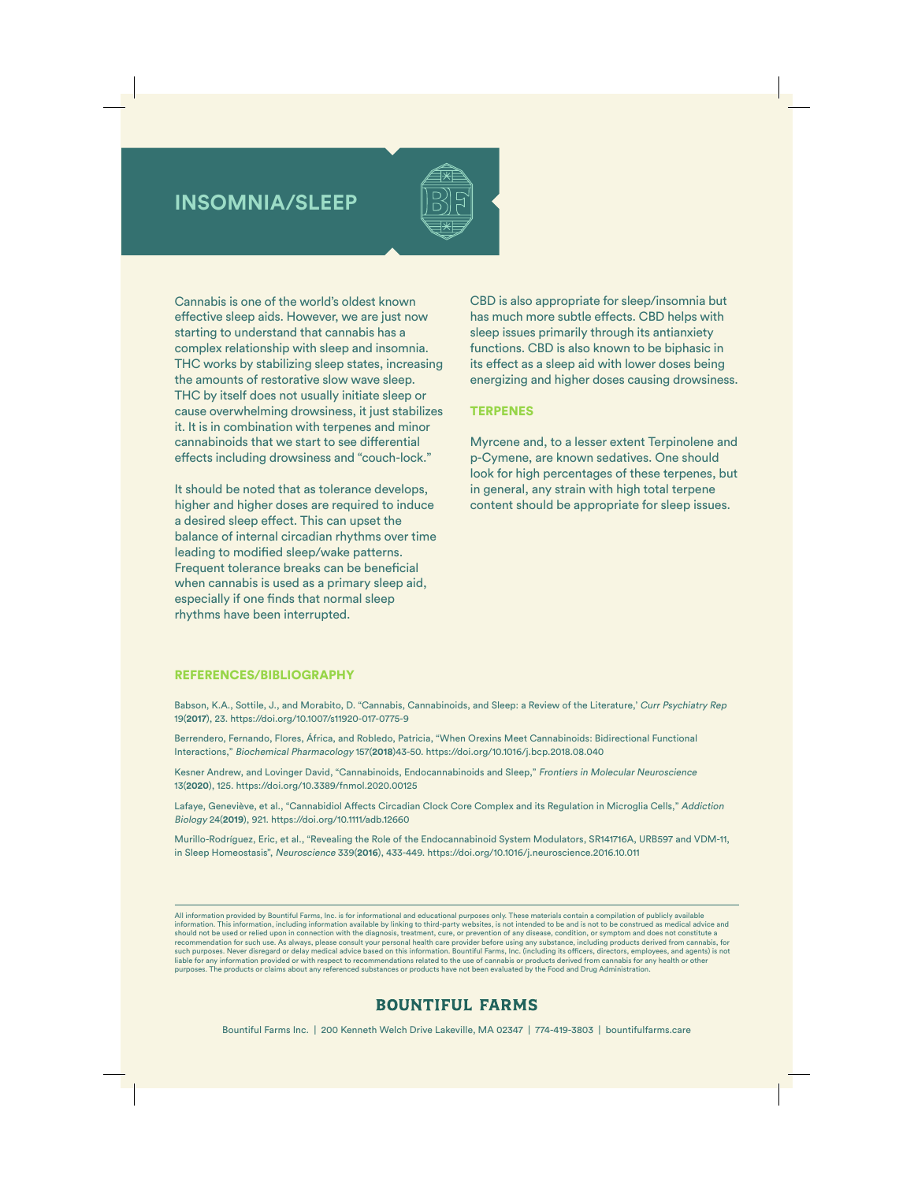## **INSOMNIA/SLEEP**



Cannabis is one of the world's oldest known effective sleep aids. However, we are just now starting to understand that cannabis has a complex relationship with sleep and insomnia. THC works by stabilizing sleep states, increasing the amounts of restorative slow wave sleep. THC by itself does not usually initiate sleep or cause overwhelming drowsiness, it just stabilizes it. It is in combination with terpenes and minor cannabinoids that we start to see differential effects including drowsiness and "couch-lock."

It should be noted that as tolerance develops, higher and higher doses are required to induce a desired sleep effect. This can upset the balance of internal circadian rhythms over time leading to modified sleep/wake patterns. Frequent tolerance breaks can be beneficial when cannabis is used as a primary sleep aid, especially if one finds that normal sleep rhythms have been interrupted.

CBD is also appropriate for sleep/insomnia but has much more subtle effects. CBD helps with sleep issues primarily through its antianxiety functions. CBD is also known to be biphasic in its effect as a sleep aid with lower doses being energizing and higher doses causing drowsiness.

## **TERPENES**

Myrcene and, to a lesser extent Terpinolene and p-Cymene, are known sedatives. One should look for high percentages of these terpenes, but in general, any strain with high total terpene content should be appropriate for sleep issues.

## REFERENCES/BIBLIOGRAPHY

Babson, K.A., Sottile, J., and Morabito, D. "Cannabis, Cannabinoids, and Sleep: a Review of the Literature,' Curr Psychiatry Rep 19(**2017**), 23. https://doi.org/10.1007/s11920-017-0775-9

Berrendero, Fernando, Flores, África, and Robledo, Patricia, "When Orexins Meet Cannabinoids: Bidirectional Functional Interactions," Biochemical Pharmacology 157(**2018**)43-50. https://doi.org/10.1016/j.bcp.2018.08.040

Kesner Andrew, and Lovinger David, "Cannabinoids, Endocannabinoids and Sleep," Frontiers in Molecular Neuroscience 13(**2020**), 125. https://doi.org/10.3389/fnmol.2020.00125

Lafaye, Geneviève, et al., "Cannabidiol Affects Circadian Clock Core Complex and its Regulation in Microglia Cells," Addiction Biology 24(**2019**), 921. https://doi.org/10.1111/adb.12660

Murillo-Rodríguez, Eric, et al., "Revealing the Role of the Endocannabinoid System Modulators, SR141716A, URB597 and VDM-11, in Sleep Homeostasis", Neuroscience 339(**2016**), 433-449. https://doi.org/10.1016/j.neuroscience.2016.10.011

All information provided by Bountiful Farms, Inc. is for informational and educational purposes only. These materials contain a compilation of publicly available information. This information, including information available by linking to third-party websites, is not intended to be and is not to be construed as medical advice and<br>should not be used or relied upon in connection with such purposes. Never disregard or delay medical advice based on this information. Bountiful Farms, Inc. (including its officers, directors, employees, and agents) is not<br>liable for any information provided or with respect liable for any information provided or with respect to recommendations related to the use of cannabis or products derived from cannabis for any health or other<br>purposes. The products or claims about any referenced substanc

## **BOUNTIFUL FARMS**

Bountiful Farms Inc. | 200 Kenneth Welch Drive Lakeville, MA 02347 | 774-419-3803 | bountifulfarms.care